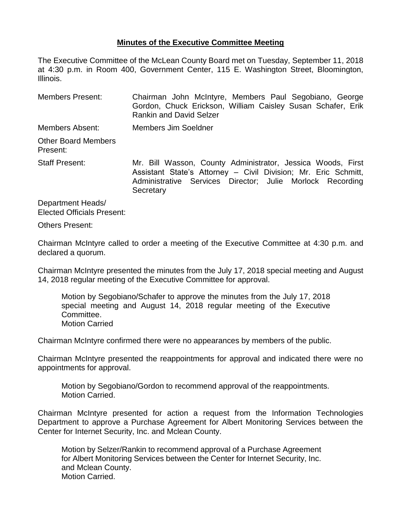## **Minutes of the Executive Committee Meeting**

The Executive Committee of the McLean County Board met on Tuesday, September 11, 2018 at 4:30 p.m. in Room 400, Government Center, 115 E. Washington Street, Bloomington, Illinois.

| <b>Members Present:</b>                | Chairman John McIntyre, Members Paul Segobiano, George<br>Gordon, Chuck Erickson, William Caisley Susan Schafer, Erik<br><b>Rankin and David Selzer</b>                                    |  |  |  |
|----------------------------------------|--------------------------------------------------------------------------------------------------------------------------------------------------------------------------------------------|--|--|--|
| Members Absent:                        | Members Jim Soeldner                                                                                                                                                                       |  |  |  |
| <b>Other Board Members</b><br>Present: |                                                                                                                                                                                            |  |  |  |
| Staff Present:                         | Mr. Bill Wasson, County Administrator, Jessica Woods, First<br>Assistant State's Attorney - Civil Division; Mr. Eric Schmitt,<br>Administrative Services Director; Julie Morlock Recording |  |  |  |

**Secretary** 

Department Heads/ Elected Officials Present:

Others Present:

Chairman McIntyre called to order a meeting of the Executive Committee at 4:30 p.m. and declared a quorum.

Chairman McIntyre presented the minutes from the July 17, 2018 special meeting and August 14, 2018 regular meeting of the Executive Committee for approval.

Motion by Segobiano/Schafer to approve the minutes from the July 17, 2018 special meeting and August 14, 2018 regular meeting of the Executive Committee. Motion Carried

Chairman McIntyre confirmed there were no appearances by members of the public.

Chairman McIntyre presented the reappointments for approval and indicated there were no appointments for approval.

Motion by Segobiano/Gordon to recommend approval of the reappointments. Motion Carried.

Chairman McIntyre presented for action a request from the Information Technologies Department to approve a Purchase Agreement for Albert Monitoring Services between the Center for Internet Security, Inc. and Mclean County.

Motion by Selzer/Rankin to recommend approval of a Purchase Agreement for Albert Monitoring Services between the Center for Internet Security, Inc. and Mclean County. Motion Carried.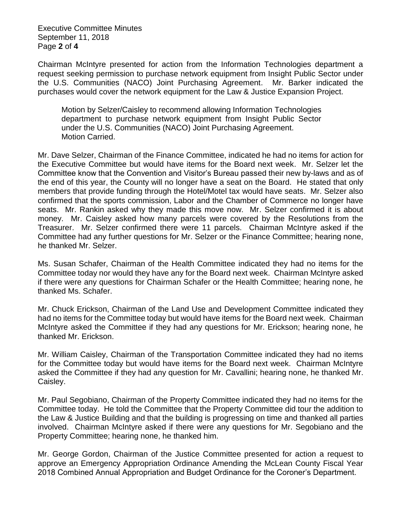Executive Committee Minutes September 11, 2018 Page **2** of **4**

Chairman McIntyre presented for action from the Information Technologies department a request seeking permission to purchase network equipment from Insight Public Sector under the U.S. Communities (NACO) Joint Purchasing Agreement. Mr. Barker indicated the purchases would cover the network equipment for the Law & Justice Expansion Project.

Motion by Selzer/Caisley to recommend allowing Information Technologies department to purchase network equipment from Insight Public Sector under the U.S. Communities (NACO) Joint Purchasing Agreement. Motion Carried.

Mr. Dave Selzer, Chairman of the Finance Committee, indicated he had no items for action for the Executive Committee but would have items for the Board next week. Mr. Selzer let the Committee know that the Convention and Visitor's Bureau passed their new by-laws and as of the end of this year, the County will no longer have a seat on the Board. He stated that only members that provide funding through the Hotel/Motel tax would have seats. Mr. Selzer also confirmed that the sports commission, Labor and the Chamber of Commerce no longer have seats. Mr. Rankin asked why they made this move now. Mr. Selzer confirmed it is about money. Mr. Caisley asked how many parcels were covered by the Resolutions from the Treasurer. Mr. Selzer confirmed there were 11 parcels. Chairman McIntyre asked if the Committee had any further questions for Mr. Selzer or the Finance Committee; hearing none, he thanked Mr. Selzer.

Ms. Susan Schafer, Chairman of the Health Committee indicated they had no items for the Committee today nor would they have any for the Board next week. Chairman McIntyre asked if there were any questions for Chairman Schafer or the Health Committee; hearing none, he thanked Ms. Schafer.

Mr. Chuck Erickson, Chairman of the Land Use and Development Committee indicated they had no items for the Committee today but would have items for the Board next week. Chairman McIntyre asked the Committee if they had any questions for Mr. Erickson; hearing none, he thanked Mr. Erickson.

Mr. William Caisley, Chairman of the Transportation Committee indicated they had no items for the Committee today but would have items for the Board next week. Chairman McIntyre asked the Committee if they had any question for Mr. Cavallini; hearing none, he thanked Mr. Caisley.

Mr. Paul Segobiano, Chairman of the Property Committee indicated they had no items for the Committee today. He told the Committee that the Property Committee did tour the addition to the Law & Justice Building and that the building is progressing on time and thanked all parties involved. Chairman McIntyre asked if there were any questions for Mr. Segobiano and the Property Committee; hearing none, he thanked him.

Mr. George Gordon, Chairman of the Justice Committee presented for action a request to approve an Emergency Appropriation Ordinance Amending the McLean County Fiscal Year 2018 Combined Annual Appropriation and Budget Ordinance for the Coroner's Department.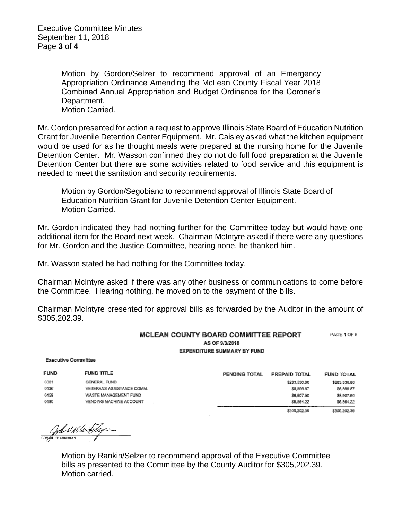Executive Committee Minutes September 11, 2018 Page **3** of **4**

> Motion by Gordon/Selzer to recommend approval of an Emergency Appropriation Ordinance Amending the McLean County Fiscal Year 2018 Combined Annual Appropriation and Budget Ordinance for the Coroner's Department. Motion Carried.

Mr. Gordon presented for action a request to approve Illinois State Board of Education Nutrition Grant for Juvenile Detention Center Equipment. Mr. Caisley asked what the kitchen equipment would be used for as he thought meals were prepared at the nursing home for the Juvenile Detention Center. Mr. Wasson confirmed they do not do full food preparation at the Juvenile Detention Center but there are some activities related to food service and this equipment is needed to meet the sanitation and security requirements.

Motion by Gordon/Segobiano to recommend approval of Illinois State Board of Education Nutrition Grant for Juvenile Detention Center Equipment. Motion Carried.

Mr. Gordon indicated they had nothing further for the Committee today but would have one additional item for the Board next week. Chairman McIntyre asked if there were any questions for Mr. Gordon and the Justice Committee, hearing none, he thanked him.

Mr. Wasson stated he had nothing for the Committee today.

Chairman McIntyre asked if there was any other business or communications to come before the Committee. Hearing nothing, he moved on to the payment of the bills.

Chairman McIntyre presented for approval bills as forwarded by the Auditor in the amount of \$305,202.39.

## MCLEAN COUNTY BOARD COMMITTEE REPORT PAGE 1 OF 8 AS OF 9/3/2018 **EXPENDITURE SUMMARY BY FUND**

**Executive Committee** 

| <b>FUND</b> | <b>FUND TITLE</b>         | PENDING TOTAL | PREPAID TOTAL | <b>FUND TOTAL</b> |
|-------------|---------------------------|---------------|---------------|-------------------|
| 0001        | GENERAL FUND              |               | \$283,530.80  | \$283,530.80      |
| 0136        | VETERANS ASSISTANCE COMM. |               | \$6,899.87    | \$6,899.87        |
| 0159        | WASTE MANAGEMENT FUND     |               | \$8,907.60    | \$8,907.50        |
| 0180        | VENDING MACHINE ACCOUNT   |               | \$5,864.22    | \$5,864.22        |
|             |                           |               | \$305,202.39  | \$305,202.39      |

Contra Malle Stype

Motion by Rankin/Selzer to recommend approval of the Executive Committee bills as presented to the Committee by the County Auditor for \$305,202.39. Motion carried.